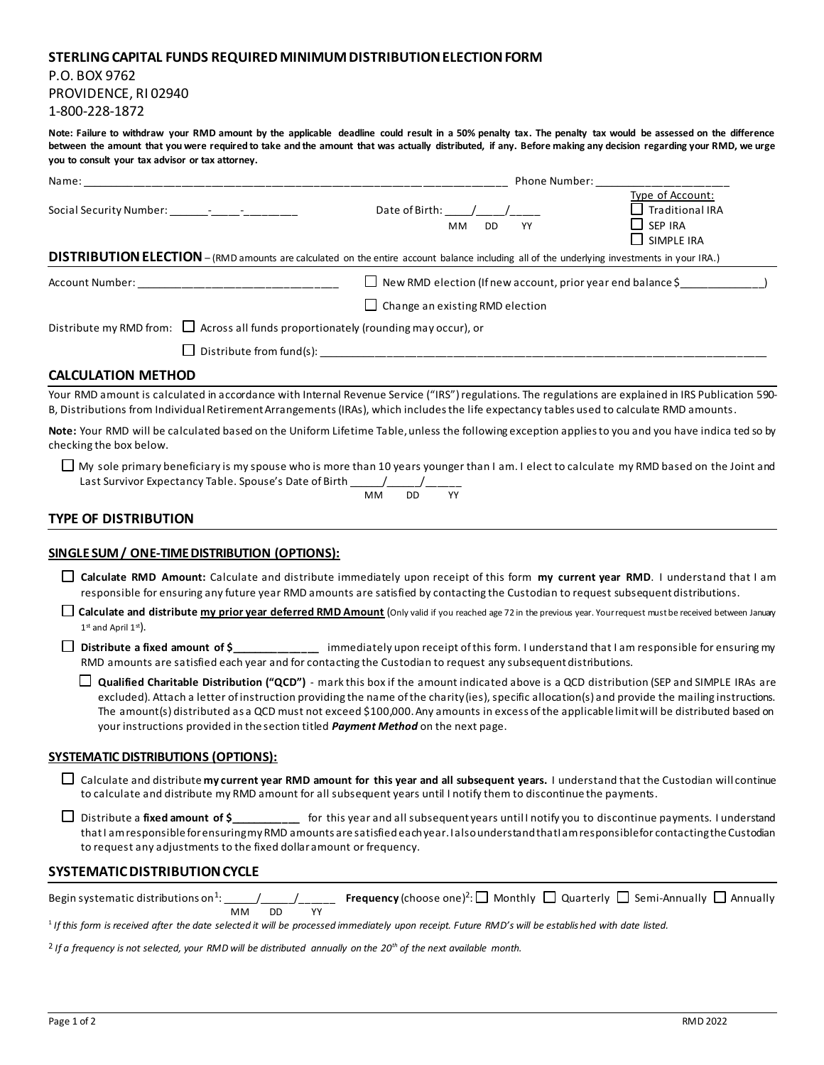## **STERLING CAPITAL FUNDS REQUIRED MINIMUM DISTRIBUTION ELECTION FORM**

P.O. BOX 9762 PROVIDENCE, RI 02940 1-800-228-1872

**Note: Failure to withdraw your RMD amount by the applicable deadline could result in a 50% penalty tax. The penalty tax would be assessed on the difference between the amount that you were required to take and the amount that was actually distributed, if any. Before making any decision regarding your RMD, we urge you to consult your tax advisor or tax attorney.**

| Name:                                                                                                          |                                                                                                                                                      | Phone Number: The contract of the contract of the contract of the contract of the contract of the contract of the contract of the contract of the contract of the contract of the contract of the contract of the contract of |  |  |  |  |  |
|----------------------------------------------------------------------------------------------------------------|------------------------------------------------------------------------------------------------------------------------------------------------------|-------------------------------------------------------------------------------------------------------------------------------------------------------------------------------------------------------------------------------|--|--|--|--|--|
| Social Security Number: The Contract of the Contract of the Contract of the Contract of the Contract of the Co | Date of Birth: / /<br>MМ<br>DD.<br>YY                                                                                                                | Type of Account:<br>Traditional IRA<br>$\Box$ SEP IRA<br>$\Box$ SIMPLE IRA                                                                                                                                                    |  |  |  |  |  |
|                                                                                                                | DISTRIBUTION ELECTION - (RMD amounts are calculated on the entire account balance including all of the underlying investments in your IRA.)          |                                                                                                                                                                                                                               |  |  |  |  |  |
| Account Number: ______________________________                                                                 | $\Box$ New RMD election (If new account, prior year end balance \$                                                                                   |                                                                                                                                                                                                                               |  |  |  |  |  |
|                                                                                                                | $\Box$ Change an existing RMD election                                                                                                               |                                                                                                                                                                                                                               |  |  |  |  |  |
| Distribute my RMD from: $\Box$ Across all funds proportionately (rounding may occur), or                       |                                                                                                                                                      |                                                                                                                                                                                                                               |  |  |  |  |  |
|                                                                                                                |                                                                                                                                                      |                                                                                                                                                                                                                               |  |  |  |  |  |
| <b>CALCULATION METHOD</b>                                                                                      |                                                                                                                                                      |                                                                                                                                                                                                                               |  |  |  |  |  |
|                                                                                                                | Your RMD amount is calculated in accordance with Internal Revenue Service ("IRS") regulations. The regulations are explained in IRS Publication 590- |                                                                                                                                                                                                                               |  |  |  |  |  |

B, Distributions from Individual Retirement Arrangements (IRAs), which includes the life expectancy tables used to calculate RMD amounts.

**Note:** Your RMD will be calculated based on the Uniform Lifetime Table, unless the following exception applies to you and you have indica ted so by checking the box below.

□ My sole primary beneficiary is my spouse who is more than 10 years younger than I am. I elect to calculate my RMD based on the Joint and Last Survivor Expectancy Table. Spouse's Date of Birth \_\_\_\_\_\_/\_\_\_\_\_\_/\_\_\_\_\_\_

$$
\frac{1}{\text{MM}} \frac{1}{\text{DD}} \frac{1}{\text{YY}}
$$

## **TYPE OF DISTRIBUTION**

## **SINGLE SUM / ONE-TIME DISTRIBUTION (OPTIONS):**

- **Calculate RMD Amount:** Calculate and distribute immediately upon receipt of this form **my current year RMD**. I understand that I am responsible for ensuring any future year RMD amounts are satisfied by contacting the Custodian to request subsequent distributions.
- **Calculate and distribute my prior year deferred RMD Amount** (Only valid if you reached age 72 in the previous year. Your request must be received between January  $1^{\text{st}}$  and April  $1^{\text{st}}$ ).

**Distribute a fixed amount of \$\_\_\_\_\_\_\_\_\_\_\_\_\_\_\_** immediately upon receipt of this form. I understand that I am responsible for ensuring my RMD amounts are satisfied each year and for contacting the Custodian to request any subsequent distributions.

**Qualified Charitable Distribution ("QCD")** - mark this box if the amount indicated above is a QCD distribution (SEP and SIMPLE IRAs are excluded). Attach a letter of instruction providing the name of the charity (ies), specific allocation(s) and provide the mailing instructions. The amount(s) distributed as a QCD must not exceed \$100,000. Any amounts in excess of the applicable limit will be distributed based on your instructions provided in the section titled *Payment Method* on the next page.

## **SYSTEMATIC DISTRIBUTIONS (OPTIONS):**

Calculate and distribute **my current year RMD amount for this year and all subsequent years.** I understand that the Custodian will continue to calculate and distribute my RMD amount for all subsequent years until I notify them to discontinue the payments.

Distribute a **fixed amount of \$\_\_\_\_\_\_\_\_\_\_\_\_** for this year and all subsequent years until I notify you to discontinue payments. I understand that I am responsible for ensuring my RMD amounts are satisfied each year. I also understand that I am responsible for contacting the Custodian to request any adjustments to the fixed dollar amount or frequency.

## **SYSTEMATIC DISTRIBUTION CYCLE**

|    |                 | <b>Frequency</b> (choose one) <sup>2</sup> : $\square$ Monthly $\square$ Quarterly $\square$ Semi-Annually $\square$ Annually |  |  |  |
|----|-----------------|-------------------------------------------------------------------------------------------------------------------------------|--|--|--|
| мм | DD <sub>2</sub> |                                                                                                                               |  |  |  |

1 *If this form is received after the date selected it will be processed immediately upon receipt. Future RMD's will be established with date listed.*

<sup>2</sup> *If a frequency is not selected, your RMD will be distributed annually on the 20th of the next available month.*